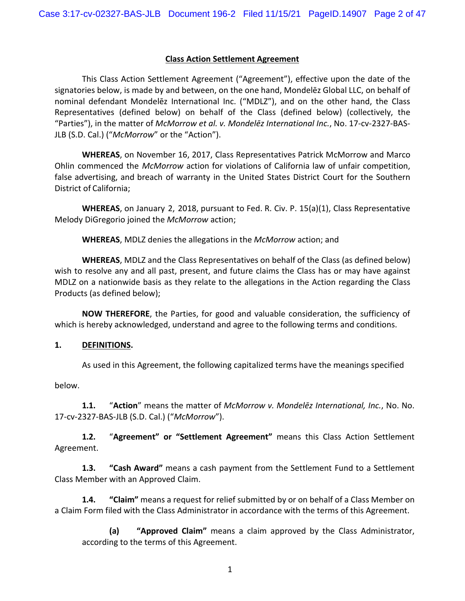#### **Class Action Settlement Agreement**

This Class Action Settlement Agreement ("Agreement"), effective upon the date of the signatories below, is made by and between, on the one hand, Mondelez Global LLC, on behalf of nominal defendant Mondelēz International Inc. ("MDLZ"), and on the other hand, the Class Representatives (defined below) on behalf of the Class (defined below) (collectively, the "Parties"), in the matter of *McMorrow et al. v. Mondelēz International Inc.*, No. 17-cv-2327-BAS-JLB (S.D. Cal.) ("*McMorrow*" or the "Action").

**WHEREAS**, on November 16, 2017, Class Representatives Patrick McMorrow and Marco Ohlin commenced the *McMorrow* action for violations of California law of unfair competition, false advertising, and breach of warranty in the United States District Court for the Southern District of California;

**WHEREAS**, on January 2, 2018, pursuant to Fed. R. Civ. P. 15(a)(1), Class Representative Melody DiGregorio joined the *McMorrow* action;

**WHEREAS**, MDLZ denies the allegations in the *McMorrow* action; and

**WHEREAS**, MDLZ and the Class Representatives on behalf of the Class (as defined below) wish to resolve any and all past, present, and future claims the Class has or may have against MDLZ on a nationwide basis as they relate to the allegations in the Action regarding the Class Products (as defined below);

**NOW THEREFORE**, the Parties, for good and valuable consideration, the sufficiency of which is hereby acknowledged, understand and agree to the following terms and conditions.

#### **1. DEFINITIONS.**

As used in this Agreement, the following capitalized terms have the meanings specified

below.

**1.1.** "**Action**" means the matter of *McMorrow v. MondelĤz International, Inc.*, No. No. 17-cv-2327-BAS-JLB (S.D. Cal.) ("*McMorrow*").

**1.2.** "**Agreement" or "Settlement Agreement"** means this Class Action Settlement Agreement.

**1.3. "Cash Award"** means a cash payment from the Settlement Fund to a Settlement Class Member with an Approved Claim.

**1.4. "Claim"** means a request for relief submitted by or on behalf of a Class Member on a Claim Form filed with the Class Administrator in accordance with the terms of this Agreement.

**(a) "Approved Claim"** means a claim approved by the Class Administrator, according to the terms of this Agreement.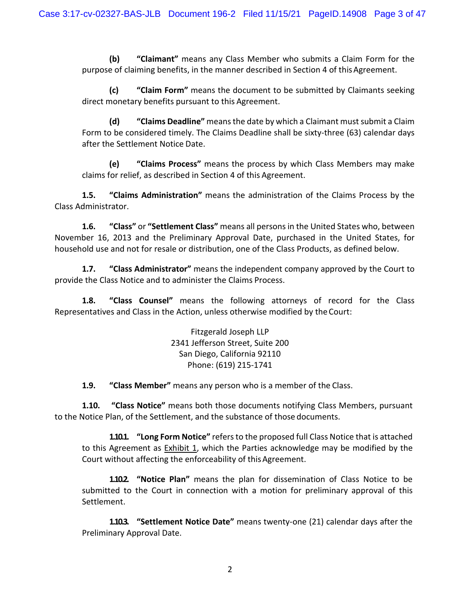**(b) "Claimant"** means any Class Member who submits a Claim Form for the purpose of claiming benefits, in the manner described in Section 4 of this Agreement.

**(c) "Claim Form"** means the document to be submitted by Claimants seeking direct monetary benefits pursuant to this Agreement.

**(d) "Claims Deadline"** means the date by which a Claimant must submit a Claim Form to be considered timely. The Claims Deadline shall be sixty-three (63) calendar days after the Settlement Notice Date.

**(e) "Claims Process"** means the process by which Class Members may make claims for relief, as described in Section 4 of this Agreement.

**1.5. "Claims Administration"** means the administration of the Claims Process by the Class Administrator.

**1.6. "Class"** or **"Settlement Class"** means all persons in the United States who, between November 16, 2013 and the Preliminary Approval Date, purchased in the United States, for household use and not for resale or distribution, one of the Class Products, as defined below.

**1.7. "Class Administrator"** means the independent company approved by the Court to provide the Class Notice and to administer the Claims Process.

**1.8. "Class Counsel"** means the following attorneys of record for the Class Representatives and Class in the Action, unless otherwise modified by theCourt:

> Fitzgerald Joseph LLP 2341 Jefferson Street, Suite 200 San Diego, California 92110 Phone: (619) 215-1741

**1.9. "Class Member"** means any person who is a member of the Class.

**1.10. "Class Notice"** means both those documents notifying Class Members, pursuant to the Notice Plan, of the Settlement, and the substance of those documents.

**1.10.1. "Long Form Notice"** refers to the proposed full Class Notice that is attached to this Agreement as Exhibit 1, which the Parties acknowledge may be modified by the Court without affecting the enforceability of this Agreement.

**1.10.2. "Notice Plan"** means the plan for dissemination of Class Notice to be submitted to the Court in connection with a motion for preliminary approval of this Settlement.

**1.10.3. "Settlement Notice Date"** means twenty-one (21) calendar days after the Preliminary Approval Date.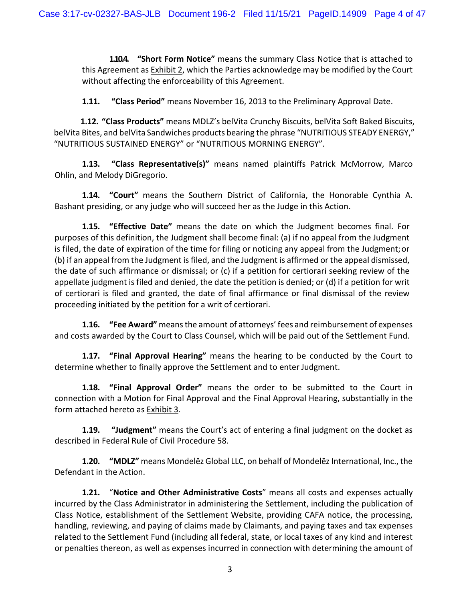**1.10.4. "Short Form Notice"** means the summary Class Notice that is attached to this Agreement as **Exhibit 2**, which the Parties acknowledge may be modified by the Court without affecting the enforceability of this Agreement.

**1.11. "Class Period"** means November 16, 2013 to the Preliminary Approval Date.

**1.12. "Class Products"** means MDLZ's belVita Crunchy Biscuits, belVita Soft Baked Biscuits, belVita Bites, and belVita Sandwiches products bearing the phrase "NUTRITIOUS STEADY ENERGY," "NUTRITIOUS SUSTAINED ENERGY" or "NUTRITIOUS MORNING ENERGY".

**1.13. "Class Representative(s)"** means named plaintiffs Patrick McMorrow, Marco Ohlin, and Melody DiGregorio.

**1.14. "Court"** means the Southern District of California, the Honorable Cynthia A. Bashant presiding, or any judge who will succeed her as the Judge in this Action.

**1.15. "Effective Date"** means the date on which the Judgment becomes final. For purposes of this definition, the Judgment shall become final: (a) if no appeal from the Judgment is filed, the date of expiration of the time for filing or noticing any appeal from the Judgment;or (b) if an appeal from the Judgment is filed, and the Judgment is affirmed or the appeal dismissed, the date of such affirmance or dismissal; or (c) if a petition for certiorari seeking review of the appellate judgment is filed and denied, the date the petition is denied; or (d) if a petition for writ of certiorari is filed and granted, the date of final affirmance or final dismissal of the review proceeding initiated by the petition for a writ of certiorari.

**1.16. "Fee Award"** means the amount of attorneys' fees and reimbursement of expenses and costs awarded by the Court to Class Counsel, which will be paid out of the Settlement Fund.

**1.17. "Final Approval Hearing"** means the hearing to be conducted by the Court to determine whether to finally approve the Settlement and to enter Judgment.

**1.18. "Final Approval Order"** means the order to be submitted to the Court in connection with a Motion for Final Approval and the Final Approval Hearing, substantially in the form attached hereto as Exhibit 3.

**1.19. "Judgment"** means the Court's act of entering a final judgment on the docket as described in Federal Rule of Civil Procedure 58.

**1.20. "MDLZ"** means Mondelēz Global LLC, on behalf of Mondelēz International, Inc., the Defendant in the Action.

**1.21.** "**Notice and Other Administrative Costs**" means all costs and expenses actually incurred by the Class Administrator in administering the Settlement, including the publication of Class Notice, establishment of the Settlement Website, providing CAFA notice, the processing, handling, reviewing, and paying of claims made by Claimants, and paying taxes and tax expenses related to the Settlement Fund (including all federal, state, or local taxes of any kind and interest or penalties thereon, as well as expenses incurred in connection with determining the amount of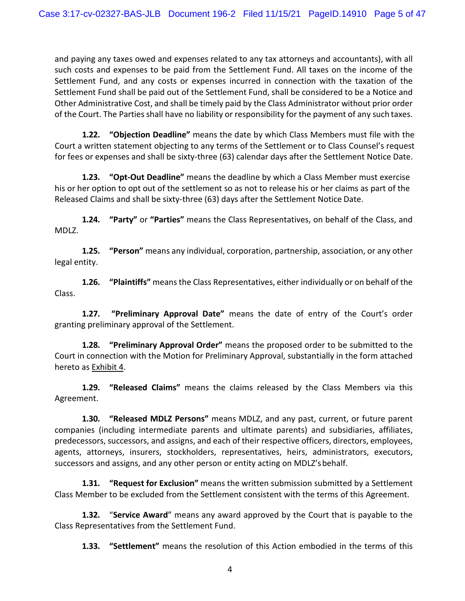and paying any taxes owed and expenses related to any tax attorneys and accountants), with all such costs and expenses to be paid from the Settlement Fund. All taxes on the income of the Settlement Fund, and any costs or expenses incurred in connection with the taxation of the Settlement Fund shall be paid out of the Settlement Fund, shall be considered to be a Notice and Other Administrative Cost, and shall be timely paid by the Class Administrator without prior order of the Court. The Parties shall have no liability or responsibility for the payment of any such taxes.

**1.22. "Objection Deadline"** means the date by which Class Members must file with the Court a written statement objecting to any terms of the Settlement or to Class Counsel's request for fees or expenses and shall be sixty-three (63) calendar days after the Settlement Notice Date.

**1.23. "Opt-Out Deadline"** means the deadline by which a Class Member must exercise his or her option to opt out of the settlement so as not to release his or her claims as part of the Released Claims and shall be sixty-three (63) days after the Settlement Notice Date.

**1.24. "Party"** or **"Parties"** means the Class Representatives, on behalf of the Class, and MDLZ.

**1.25. "Person"** means any individual, corporation, partnership, association, or any other legal entity.

**1.26. "Plaintiffs"** means the Class Representatives, either individually or on behalf of the Class.

**1.27. "Preliminary Approval Date"** means the date of entry of the Court's order granting preliminary approval of the Settlement.

**1.28. "Preliminary Approval Order"** means the proposed order to be submitted to the Court in connection with the Motion for Preliminary Approval, substantially in the form attached hereto as Exhibit 4.

**1.29. "Released Claims"** means the claims released by the Class Members via this Agreement.

**1.30. "Released MDLZ Persons"** means MDLZ, and any past, current, or future parent companies (including intermediate parents and ultimate parents) and subsidiaries, affiliates, predecessors, successors, and assigns, and each of their respective officers, directors, employees, agents, attorneys, insurers, stockholders, representatives, heirs, administrators, executors, successors and assigns, and any other person or entity acting on MDLZ'sbehalf.

**1.31. "Request for Exclusion"** means the written submission submitted by a Settlement Class Member to be excluded from the Settlement consistent with the terms of this Agreement.

**1.32.** "**Service Award**" means any award approved by the Court that is payable to the Class Representatives from the Settlement Fund.

**1.33. "Settlement"** means the resolution of this Action embodied in the terms of this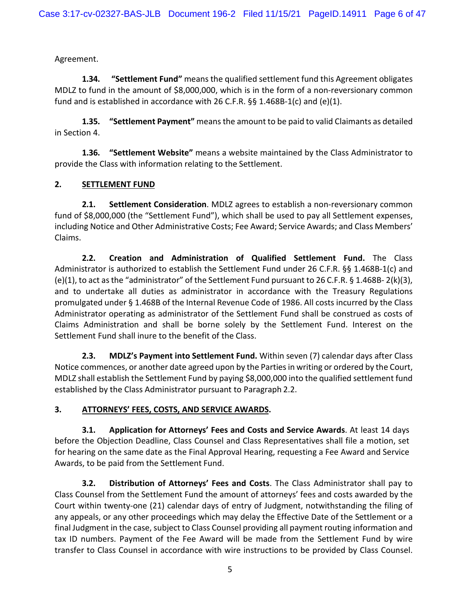Agreement.

**1.34. "Settlement Fund"** means the qualified settlement fund this Agreement obligates MDLZ to fund in the amount of \$8,000,000, which is in the form of a non-reversionary common fund and is established in accordance with 26 C.F.R. §§ 1.468B-1(c) and (e)(1).

**1.35. "Settlement Payment"** means the amount to be paid to valid Claimants as detailed in Section 4.

**1.36. "Settlement Website"** means a website maintained by the Class Administrator to provide the Class with information relating to the Settlement.

## **2. SETTLEMENT FUND**

**2.1. Settlement Consideration**. MDLZ agrees to establish a non-reversionary common fund of \$8,000,000 (the "Settlement Fund"), which shall be used to pay all Settlement expenses, including Notice and Other Administrative Costs; Fee Award; Service Awards; and Class Members' Claims.

**2.2. Creation and Administration of Qualified Settlement Fund.** The Class Administrator is authorized to establish the Settlement Fund under 26 C.F.R. §§ 1.468B-1(c) and (e)(1), to act as the "administrator" of the Settlement Fund pursuant to 26 C.F.R. § 1.468B- 2(k)(3), and to undertake all duties as administrator in accordance with the Treasury Regulations promulgated under § 1.468B of the Internal Revenue Code of 1986. All costs incurred by the Class Administrator operating as administrator of the Settlement Fund shall be construed as costs of Claims Administration and shall be borne solely by the Settlement Fund. Interest on the Settlement Fund shall inure to the benefit of the Class.

**2.3. MDLZ's Payment into Settlement Fund.** Within seven (7) calendar days after Class Notice commences, or another date agreed upon by the Parties in writing or ordered by the Court, MDLZ shall establish the Settlement Fund by paying \$8,000,000 into the qualified settlement fund established by the Class Administrator pursuant to Paragraph 2.2.

## **3. ATTORNEYS' FEES, COSTS, AND SERVICE AWARDS.**

**3.1. Application for Attorneys' Fees and Costs and Service Awards**. At least 14 days before the Objection Deadline, Class Counsel and Class Representatives shall file a motion, set for hearing on the same date as the Final Approval Hearing, requesting a Fee Award and Service Awards, to be paid from the Settlement Fund.

**3.2. Distribution of Attorneys' Fees and Costs**. The Class Administrator shall pay to Class Counsel from the Settlement Fund the amount of attorneys' fees and costs awarded by the Court within twenty-one (21) calendar days of entry of Judgment, notwithstanding the filing of any appeals, or any other proceedings which may delay the Effective Date of the Settlement or a final Judgment in the case, subject to Class Counsel providing all payment routing information and tax ID numbers. Payment of the Fee Award will be made from the Settlement Fund by wire transfer to Class Counsel in accordance with wire instructions to be provided by Class Counsel.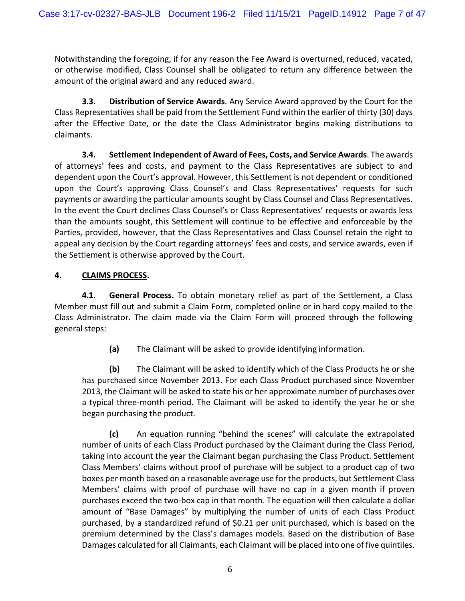Notwithstanding the foregoing, if for any reason the Fee Award is overturned, reduced, vacated, or otherwise modified, Class Counsel shall be obligated to return any difference between the amount of the original award and any reduced award.

**3.3. Distribution of Service Awards**. Any Service Award approved by the Court for the Class Representatives shall be paid from the Settlement Fund within the earlier of thirty (30) days after the Effective Date, or the date the Class Administrator begins making distributions to claimants.

**3.4. Settlement Independent of Award of Fees, Costs, and Service Awards**. The awards of attorneys' fees and costs, and payment to the Class Representatives are subject to and dependent upon the Court's approval. However, this Settlement is not dependent or conditioned upon the Court's approving Class Counsel's and Class Representatives' requests for such payments or awarding the particular amounts sought by Class Counsel and Class Representatives. In the event the Court declines Class Counsel's or Class Representatives' requests or awards less than the amounts sought, this Settlement will continue to be effective and enforceable by the Parties, provided, however, that the Class Representatives and Class Counsel retain the right to appeal any decision by the Court regarding attorneys' fees and costs, and service awards, even if the Settlement is otherwise approved by the Court.

# **4. CLAIMS PROCESS.**

**4.1. General Process.** To obtain monetary relief as part of the Settlement, a Class Member must fill out and submit a Claim Form, completed online or in hard copy mailed to the Class Administrator. The claim made via the Claim Form will proceed through the following general steps:

**(a)** The Claimant will be asked to provide identifying information.

**(b)** The Claimant will be asked to identify which of the Class Products he or she has purchased since November 2013. For each Class Product purchased since November 2013, the Claimant will be asked to state his or her approximate number of purchases over a typical three-month period. The Claimant will be asked to identify the year he or she began purchasing the product.

**(c)** An equation running "behind the scenes" will calculate the extrapolated number of units of each Class Product purchased by the Claimant during the Class Period, taking into account the year the Claimant began purchasing the Class Product. Settlement Class Members' claims without proof of purchase will be subject to a product cap of two boxes per month based on a reasonable average use for the products, but Settlement Class Members' claims with proof of purchase will have no cap in a given month if proven purchases exceed the two-box cap in that month. The equation will then calculate a dollar amount of "Base Damages" by multiplying the number of units of each Class Product purchased, by a standardized refund of \$0.21 per unit purchased, which is based on the premium determined by the Class's damages models. Based on the distribution of Base Damages calculated for all Claimants, each Claimant will be placed into one of five quintiles.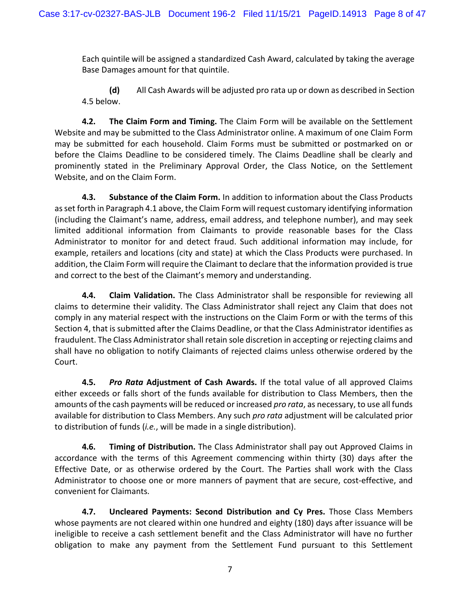Each quintile will be assigned a standardized Cash Award, calculated by taking the average Base Damages amount for that quintile.

**(d)** All Cash Awards will be adjusted pro rata up or down as described in Section 4.5 below.

**4.2. The Claim Form and Timing.** The Claim Form will be available on the Settlement Website and may be submitted to the Class Administrator online. A maximum of one Claim Form may be submitted for each household. Claim Forms must be submitted or postmarked on or before the Claims Deadline to be considered timely. The Claims Deadline shall be clearly and prominently stated in the Preliminary Approval Order, the Class Notice, on the Settlement Website, and on the Claim Form.

**4.3. Substance of the Claim Form.** In addition to information about the Class Products as set forth in Paragraph 4.1 above, the Claim Form will request customary identifying information (including the Claimant's name, address, email address, and telephone number), and may seek limited additional information from Claimants to provide reasonable bases for the Class Administrator to monitor for and detect fraud. Such additional information may include, for example, retailers and locations (city and state) at which the Class Products were purchased. In addition, the Claim Form will require the Claimant to declare that the information provided is true and correct to the best of the Claimant's memory and understanding.

**4.4. Claim Validation.** The Class Administrator shall be responsible for reviewing all claims to determine their validity. The Class Administrator shall reject any Claim that does not comply in any material respect with the instructions on the Claim Form or with the terms of this Section 4, that is submitted after the Claims Deadline, or that the Class Administrator identifies as fraudulent. The Class Administrator shall retain sole discretion in accepting or rejecting claims and shall have no obligation to notify Claimants of rejected claims unless otherwise ordered by the Court.

**4.5.** *Pro Rata* **Adjustment of Cash Awards.** If the total value of all approved Claims either exceeds or falls short of the funds available for distribution to Class Members, then the amounts of the cash payments will be reduced or increased *pro rata*, as necessary, to use all funds available for distribution to Class Members. Any such *pro rata* adjustment will be calculated prior to distribution of funds (*i.e.*, will be made in a single distribution).

**4.6. Timing of Distribution.** The Class Administrator shall pay out Approved Claims in accordance with the terms of this Agreement commencing within thirty (30) days after the Effective Date, or as otherwise ordered by the Court. The Parties shall work with the Class Administrator to choose one or more manners of payment that are secure, cost-effective, and convenient for Claimants.

**4.7. Uncleared Payments: Second Distribution and Cy Pres.** Those Class Members whose payments are not cleared within one hundred and eighty (180) days after issuance will be ineligible to receive a cash settlement benefit and the Class Administrator will have no further obligation to make any payment from the Settlement Fund pursuant to this Settlement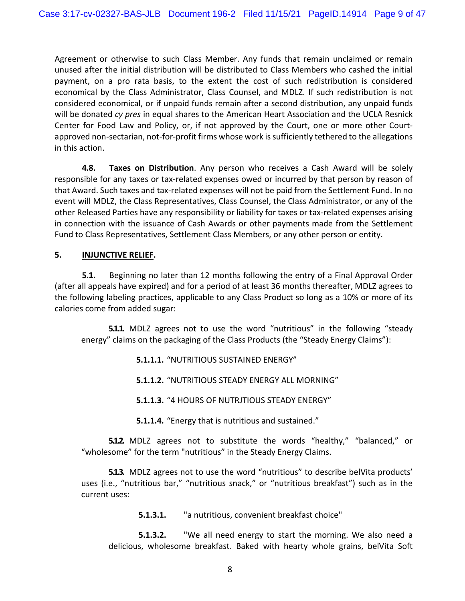Agreement or otherwise to such Class Member. Any funds that remain unclaimed or remain unused after the initial distribution will be distributed to Class Members who cashed the initial payment, on a pro rata basis, to the extent the cost of such redistribution is considered economical by the Class Administrator, Class Counsel, and MDLZ. If such redistribution is not considered economical, or if unpaid funds remain after a second distribution, any unpaid funds will be donated *cy pres* in equal shares to the American Heart Association and the UCLA Resnick Center for Food Law and Policy, or, if not approved by the Court, one or more other Courtapproved non-sectarian, not-for-profit firms whose work is sufficiently tethered to the allegations in this action.

**4.8. Taxes on Distribution**. Any person who receives a Cash Award will be solely responsible for any taxes or tax-related expenses owed or incurred by that person by reason of that Award. Such taxes and tax-related expenses will not be paid from the Settlement Fund. In no event will MDLZ, the Class Representatives, Class Counsel, the Class Administrator, or any of the other Released Parties have any responsibility or liability for taxes or tax-related expenses arising in connection with the issuance of Cash Awards or other payments made from the Settlement Fund to Class Representatives, Settlement Class Members, or any other person or entity.

#### **5. INJUNCTIVE RELIEF.**

**5.1.** Beginning no later than 12 months following the entry of a Final Approval Order (after all appeals have expired) and for a period of at least 36 months thereafter, MDLZ agrees to the following labeling practices, applicable to any Class Product so long as a 10% or more of its calories come from added sugar:

**5.1.1.** MDLZ agrees not to use the word "nutritious" in the following "steady energy" claims on the packaging of the Class Products (the "Steady Energy Claims"):

- **5.1.1.1.** "NUTRITIOUS SUSTAINED ENERGY"
- **5.1.1.2.** "NUTRITIOUS STEADY ENERGY ALL MORNING"
- **5.1.1.3.** "4 HOURS OF NUTRJTIOUS STEADY ENERGY"
- **5.1.1.4.** "Energy that is nutritious and sustained."

**5.1.2.** MDLZ agrees not to substitute the words "healthy," "balanced," or "wholesome" for the term "nutritious" in the Steady Energy Claims.

**5.1.3.** MDLZ agrees not to use the word "nutritious" to describe belVita products' uses (i.e., "nutritious bar," "nutritious snack," or "nutritious breakfast") such as in the current uses:

**5.1.3.1.** "a nutritious, convenient breakfast choice"

**5.1.3.2.** "We all need energy to start the morning. We also need a delicious, wholesome breakfast. Baked with hearty whole grains, belVita Soft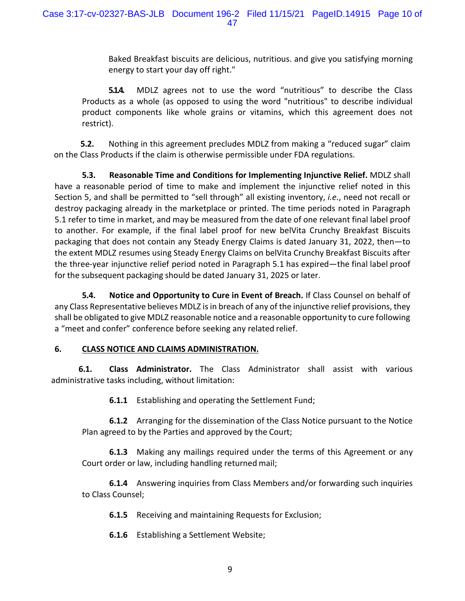Baked Breakfast biscuits are delicious, nutritious. and give you satisfying morning energy to start your day off right."

**5.14.** MDLZ agrees not to use the word "nutritious" to describe the Class Products as a whole (as opposed to using the word "nutritious" to describe individual product components like whole grains or vitamins, which this agreement does not restrict).

**5.2.** Nothing in this agreement precludes MDLZ from making a "reduced sugar" claim on the Class Products if the claim is otherwise permissible under FDA regulations.

**5.3. Reasonable Time and Conditions for Implementing Injunctive Relief.** MDLZ shall have a reasonable period of time to make and implement the injunctive relief noted in this Section 5, and shall be permitted to "sell through" all existing inventory, *i.e.*, need not recall or destroy packaging already in the marketplace or printed. The time periods noted in Paragraph 5.1 refer to time in market, and may be measured from the date of one relevant final label proof to another. For example, if the final label proof for new belVita Crunchy Breakfast Biscuits packaging that does not contain any Steady Energy Claims is dated January 31, 2022, then—to the extent MDLZ resumes using Steady Energy Claims on belVita Crunchy Breakfast Biscuits after the three-year injunctive relief period noted in Paragraph 5.1 has expired—the final label proof for the subsequent packaging should be dated January 31, 2025 or later.

**5.4. Notice and Opportunity to Cure in Event of Breach.** If Class Counsel on behalf of any Class Representative believes MDLZ is in breach of any of the injunctive relief provisions, they shall be obligated to give MDLZ reasonable notice and a reasonable opportunity to cure following a "meet and confer" conference before seeking any related relief.

## **6. CLASS NOTICE AND CLAIMS ADMINISTRATION.**

**6.1. Class Administrator.** The Class Administrator shall assist with various administrative tasks including, without limitation:

**6.1.1** Establishing and operating the Settlement Fund;

**6.1.2** Arranging for the dissemination of the Class Notice pursuant to the Notice Plan agreed to by the Parties and approved by the Court;

**6.1.3** Making any mailings required under the terms of this Agreement or any Court order or law, including handling returned mail;

**6.1.4** Answering inquiries from Class Members and/or forwarding such inquiries to Class Counsel;

**6.1.5** Receiving and maintaining Requests for Exclusion;

**6.1.6** Establishing a Settlement Website;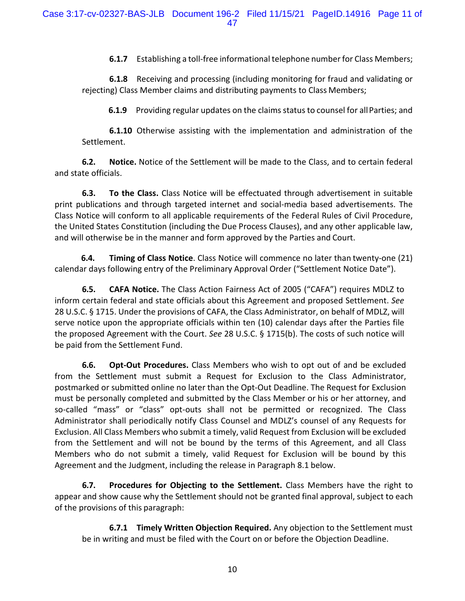**6.1.7** Establishing a toll-free informational telephone number for Class Members;

**6.1.8** Receiving and processing (including monitoring for fraud and validating or rejecting) Class Member claims and distributing payments to Class Members;

**6.1.9** Providing regular updates on the claims status to counsel for all Parties; and

**6.1.10** Otherwise assisting with the implementation and administration of the Settlement.

**6.2. Notice.** Notice of the Settlement will be made to the Class, and to certain federal and state officials.

**6.3. To the Class.** Class Notice will be effectuated through advertisement in suitable print publications and through targeted internet and social-media based advertisements. The Class Notice will conform to all applicable requirements of the Federal Rules of Civil Procedure, the United States Constitution (including the Due Process Clauses), and any other applicable law, and will otherwise be in the manner and form approved by the Parties and Court.

**6.4. Timing of Class Notice**. Class Notice will commence no later than twenty-one (21) calendar days following entry of the Preliminary Approval Order ("Settlement Notice Date").

**6.5. CAFA Notice.** The Class Action Fairness Act of 2005 ("CAFA") requires MDLZ to inform certain federal and state officials about this Agreement and proposed Settlement. *See*  28 U.S.C. § 1715. Under the provisions of CAFA, the Class Administrator, on behalf of MDLZ, will serve notice upon the appropriate officials within ten (10) calendar days after the Parties file the proposed Agreement with the Court. *See* 28 U.S.C. § 1715(b). The costs of such notice will be paid from the Settlement Fund.

**6.6. Opt-Out Procedures.** Class Members who wish to opt out of and be excluded from the Settlement must submit a Request for Exclusion to the Class Administrator, postmarked or submitted online no later than the Opt-Out Deadline. The Request for Exclusion must be personally completed and submitted by the Class Member or his or her attorney, and so-called "mass" or "class" opt-outs shall not be permitted or recognized. The Class Administrator shall periodically notify Class Counsel and MDLZ's counsel of any Requests for Exclusion. All Class Members who submit a timely, valid Request from Exclusion will be excluded from the Settlement and will not be bound by the terms of this Agreement, and all Class Members who do not submit a timely, valid Request for Exclusion will be bound by this Agreement and the Judgment, including the release in Paragraph 8.1 below.

**6.7. Procedures for Objecting to the Settlement.** Class Members have the right to appear and show cause why the Settlement should not be granted final approval, subject to each of the provisions of this paragraph:

**6.7.1 Timely Written Objection Required.** Any objection to the Settlement must be in writing and must be filed with the Court on or before the Objection Deadline.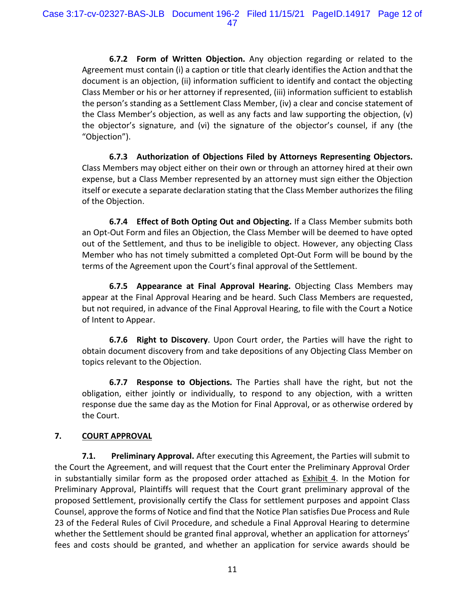**6.7.2 Form of Written Objection.** Any objection regarding or related to the Agreement must contain (i) a caption or title that clearly identifies the Action andthat the document is an objection, (ii) information sufficient to identify and contact the objecting Class Member or his or her attorney if represented, (iii) information sufficient to establish the person's standing as a Settlement Class Member, (iv) a clear and concise statement of the Class Member's objection, as well as any facts and law supporting the objection, (v) the objector's signature, and (vi) the signature of the objector's counsel, if any (the "Objection").

**6.7.3 Authorization of Objections Filed by Attorneys Representing Objectors.**  Class Members may object either on their own or through an attorney hired at their own expense, but a Class Member represented by an attorney must sign either the Objection itself or execute a separate declaration stating that the Class Member authorizes the filing of the Objection.

**6.7.4 Effect of Both Opting Out and Objecting.** If a Class Member submits both an Opt-Out Form and files an Objection, the Class Member will be deemed to have opted out of the Settlement, and thus to be ineligible to object. However, any objecting Class Member who has not timely submitted a completed Opt-Out Form will be bound by the terms of the Agreement upon the Court's final approval of the Settlement.

**6.7.5 Appearance at Final Approval Hearing.** Objecting Class Members may appear at the Final Approval Hearing and be heard. Such Class Members are requested, but not required, in advance of the Final Approval Hearing, to file with the Court a Notice of Intent to Appear.

**6.7.6 Right to Discovery**. Upon Court order, the Parties will have the right to obtain document discovery from and take depositions of any Objecting Class Member on topics relevant to the Objection.

**6.7.7 Response to Objections.** The Parties shall have the right, but not the obligation, either jointly or individually, to respond to any objection, with a written response due the same day as the Motion for Final Approval, or as otherwise ordered by the Court.

## **7. COURT APPROVAL**

**7.1. Preliminary Approval.** After executing this Agreement, the Parties will submit to the Court the Agreement, and will request that the Court enter the Preliminary Approval Order in substantially similar form as the proposed order attached as Exhibit 4. In the Motion for Preliminary Approval, Plaintiffs will request that the Court grant preliminary approval of the proposed Settlement, provisionally certify the Class for settlement purposes and appoint Class Counsel, approve the forms of Notice and find that the Notice Plan satisfies Due Process and Rule 23 of the Federal Rules of Civil Procedure, and schedule a Final Approval Hearing to determine whether the Settlement should be granted final approval, whether an application for attorneys' fees and costs should be granted, and whether an application for service awards should be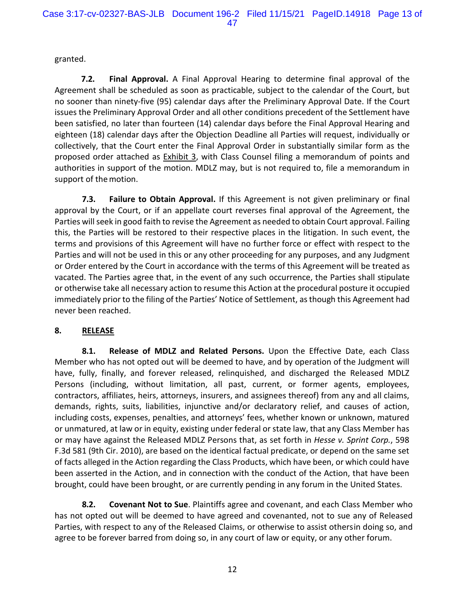granted.

**7.2. Final Approval.** A Final Approval Hearing to determine final approval of the Agreement shall be scheduled as soon as practicable, subject to the calendar of the Court, but no sooner than ninety-five (95) calendar days after the Preliminary Approval Date. If the Court issues the Preliminary Approval Order and all other conditions precedent of the Settlement have been satisfied, no later than fourteen (14) calendar days before the Final Approval Hearing and eighteen (18) calendar days after the Objection Deadline all Parties will request, individually or collectively, that the Court enter the Final Approval Order in substantially similar form as the proposed order attached as **Exhibit 3**, with Class Counsel filing a memorandum of points and authorities in support of the motion. MDLZ may, but is not required to, file a memorandum in support of the motion.

**7.3. Failure to Obtain Approval.** If this Agreement is not given preliminary or final approval by the Court, or if an appellate court reverses final approval of the Agreement, the Parties will seek in good faith to revise the Agreement as needed to obtain Court approval. Failing this, the Parties will be restored to their respective places in the litigation. In such event, the terms and provisions of this Agreement will have no further force or effect with respect to the Parties and will not be used in this or any other proceeding for any purposes, and any Judgment or Order entered by the Court in accordance with the terms of this Agreement will be treated as vacated. The Parties agree that, in the event of any such occurrence, the Parties shall stipulate or otherwise take all necessary action to resume this Action at the procedural posture it occupied immediately prior to the filing of the Parties' Notice of Settlement, as though this Agreement had never been reached.

# **8. RELEASE**

**8.1. Release of MDLZ and Related Persons.** Upon the Effective Date, each Class Member who has not opted out will be deemed to have, and by operation of the Judgment will have, fully, finally, and forever released, relinquished, and discharged the Released MDLZ Persons (including, without limitation, all past, current, or former agents, employees, contractors, affiliates, heirs, attorneys, insurers, and assignees thereof) from any and all claims, demands, rights, suits, liabilities, injunctive and/or declaratory relief, and causes of action, including costs, expenses, penalties, and attorneys' fees, whether known or unknown, matured or unmatured, at law or in equity, existing under federal or state law, that any Class Member has or may have against the Released MDLZ Persons that, as set forth in *Hesse v. Sprint Corp.*, 598 F.3d 581 (9th Cir. 2010), are based on the identical factual predicate, or depend on the same set of facts alleged in the Action regarding the Class Products, which have been, or which could have been asserted in the Action, and in connection with the conduct of the Action, that have been brought, could have been brought, or are currently pending in any forum in the United States.

**8.2. Covenant Not to Sue**. Plaintiffs agree and covenant, and each Class Member who has not opted out will be deemed to have agreed and covenanted, not to sue any of Released Parties, with respect to any of the Released Claims, or otherwise to assist othersin doing so, and agree to be forever barred from doing so, in any court of law or equity, or any other forum.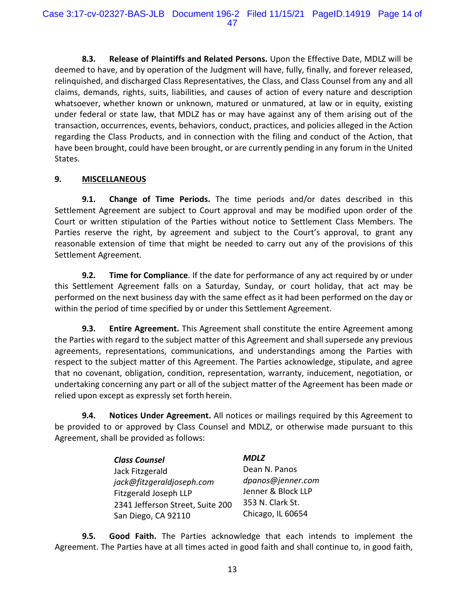**8.3. Release of Plaintiffs and Related Persons.** Upon the Effective Date, MDLZ will be deemed to have, and by operation of the Judgment will have, fully, finally, and forever released, relinquished, and discharged Class Representatives, the Class, and Class Counsel from any and all claims, demands, rights, suits, liabilities, and causes of action of every nature and description whatsoever, whether known or unknown, matured or unmatured, at law or in equity, existing under federal or state law, that MDLZ has or may have against any of them arising out of the transaction, occurrences, events, behaviors, conduct, practices, and policies alleged in the Action regarding the Class Products, and in connection with the filing and conduct of the Action, that have been brought, could have been brought, or are currently pending in any forum in the United States.

## **9. MISCELLANEOUS**

**9.1. Change of Time Periods.** The time periods and/or dates described in this Settlement Agreement are subject to Court approval and may be modified upon order of the Court or written stipulation of the Parties without notice to Settlement Class Members. The Parties reserve the right, by agreement and subject to the Court's approval, to grant any reasonable extension of time that might be needed to carry out any of the provisions of this Settlement Agreement.

**9.2. Time for Compliance**. If the date for performance of any act required by or under this Settlement Agreement falls on a Saturday, Sunday, or court holiday, that act may be performed on the next business day with the same effect as it had been performed on the day or within the period of time specified by or under this Settlement Agreement.

**9.3. Entire Agreement.** This Agreement shall constitute the entire Agreement among the Parties with regard to the subject matter of this Agreement and shall supersede any previous agreements, representations, communications, and understandings among the Parties with respect to the subject matter of this Agreement. The Parties acknowledge, stipulate, and agree that no covenant, obligation, condition, representation, warranty, inducement, negotiation, or undertaking concerning any part or all of the subject matter of the Agreement has been made or relied upon except as expressly set forth herein.

**9.4. Notices Under Agreement.** All notices or mailings required by this Agreement to be provided to or approved by Class Counsel and MDLZ, or otherwise made pursuant to this Agreement, shall be provided as follows:

| <b>Class Counsel</b>             | <b>MDLZ</b>        |
|----------------------------------|--------------------|
| Jack Fitzgerald                  | Dean N. Panos      |
| jack@fitzgeraldjoseph.com        | dpanos@jenner.com  |
| Fitzgerald Joseph LLP            | Jenner & Block LLP |
| 2341 Jefferson Street, Suite 200 | 353 N. Clark St.   |
| San Diego, CA 92110              | Chicago, IL 60654  |

**9.5. Good Faith.** The Parties acknowledge that each intends to implement the Agreement. The Parties have at all times acted in good faith and shall continue to, in good faith,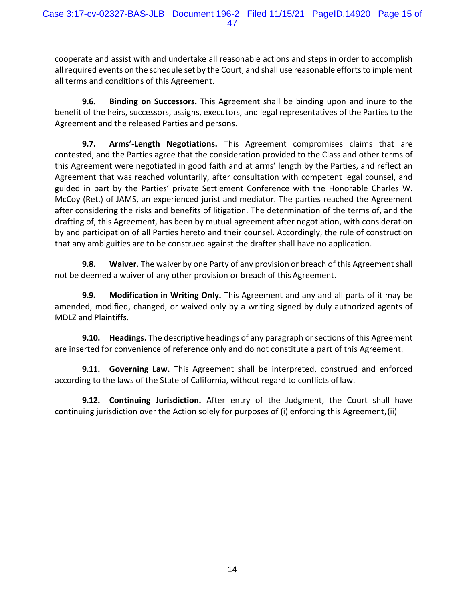cooperate and assist with and undertake all reasonable actions and steps in order to accomplish all required events on the schedule set by the Court, and shall use reasonable efforts to implement all terms and conditions of this Agreement.

**9.6. Binding on Successors.** This Agreement shall be binding upon and inure to the benefit of the heirs, successors, assigns, executors, and legal representatives of the Parties to the Agreement and the released Parties and persons.

**9.7. Arms'-Length Negotiations.** This Agreement compromises claims that are contested, and the Parties agree that the consideration provided to the Class and other terms of this Agreement were negotiated in good faith and at arms' length by the Parties, and reflect an Agreement that was reached voluntarily, after consultation with competent legal counsel, and guided in part by the Parties' private Settlement Conference with the Honorable Charles W. McCoy (Ret.) of JAMS, an experienced jurist and mediator. The parties reached the Agreement after considering the risks and benefits of litigation. The determination of the terms of, and the drafting of, this Agreement, has been by mutual agreement after negotiation, with consideration by and participation of all Parties hereto and their counsel. Accordingly, the rule of construction that any ambiguities are to be construed against the drafter shall have no application.

**9.8. Waiver.** The waiver by one Party of any provision or breach of this Agreement shall not be deemed a waiver of any other provision or breach of this Agreement.

**9.9. Modification in Writing Only.** This Agreement and any and all parts of it may be amended, modified, changed, or waived only by a writing signed by duly authorized agents of MDLZ and Plaintiffs.

**9.10. Headings.** The descriptive headings of any paragraph or sections of this Agreement are inserted for convenience of reference only and do not constitute a part of this Agreement.

**9.11. Governing Law.** This Agreement shall be interpreted, construed and enforced according to the laws of the State of California, without regard to conflicts of law.

**9.12. Continuing Jurisdiction.** After entry of the Judgment, the Court shall have continuing jurisdiction over the Action solely for purposes of (i) enforcing this Agreement,(ii)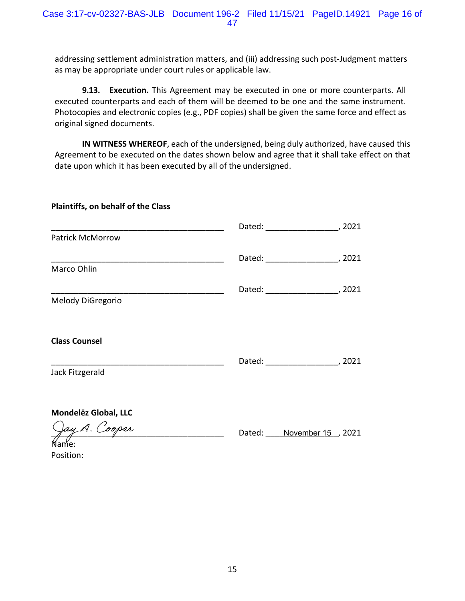**9.13. Execution.** This Agreement may be executed in one or more counterparts. All executed counterparts and each of them will be deemed to be one and the same instrument. Photocopies and electronic copies (e.g., PDF copies) shall be given the same force and effect as original signed documents.

**IN WITNESS WHEREOF**, each of the undersigned, being duly authorized, have caused this Agreement to be executed on the dates shown below and agree that it shall take effect on that date upon which it has been executed by all of the undersigned.

# **Plaintiffs, on behalf of the Class** \_\_\_\_\_\_\_\_\_\_\_\_\_\_\_\_\_\_\_\_\_\_\_\_\_\_\_\_\_\_\_\_\_\_\_\_\_\_ Patrick McMorrow

| Marco Ohlin          | Dated: | 2021 |
|----------------------|--------|------|
| Melody DiGregorio    | Dated: | 2021 |
| <b>Class Counsel</b> | Dated: | 2021 |
| Jack Fitzgerald      |        |      |

**MondelEz** Global, LLC

n<br>2y A. Cooper

Dated: November 15, 2021

Dated: \_\_\_\_\_\_\_\_\_\_\_\_\_\_\_\_, 2021

Name: Position: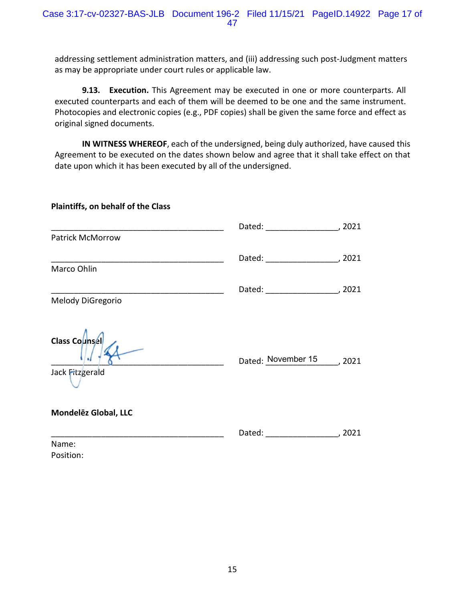**9.13. Execution.** This Agreement may be executed in one or more counterparts. All executed counterparts and each of them will be deemed to be one and the same instrument. Photocopies and electronic copies (e.g., PDF copies) shall be given the same force and effect as original signed documents.

**IN WITNESS WHEREOF**, each of the undersigned, being duly authorized, have caused this Agreement to be executed on the dates shown below and agree that it shall take effect on that date upon which it has been executed by all of the undersigned.

| <b>Plaintiffs, on behalf of the Class</b>                                                                           |                                         |        |
|---------------------------------------------------------------------------------------------------------------------|-----------------------------------------|--------|
|                                                                                                                     |                                         |        |
| Patrick McMorrow                                                                                                    |                                         |        |
|                                                                                                                     | Dated: __________________________, 2021 |        |
| Marco Ohlin                                                                                                         |                                         |        |
| <u> 1989 - Johann John Stein, mars ar yw i brenin y cyfeiriau ar y cyfeiriau ar y cyfeiriau ar y cyfeiriau ar y</u> |                                         |        |
| Melody DiGregorio                                                                                                   |                                         |        |
| Class Counsel<br>Jack Fitzgerald                                                                                    | Dated: November 15, 2021                |        |
|                                                                                                                     |                                         |        |
| Mondelez Global, LLC                                                                                                |                                         |        |
|                                                                                                                     |                                         | , 2021 |
| Name:                                                                                                               |                                         |        |

Position: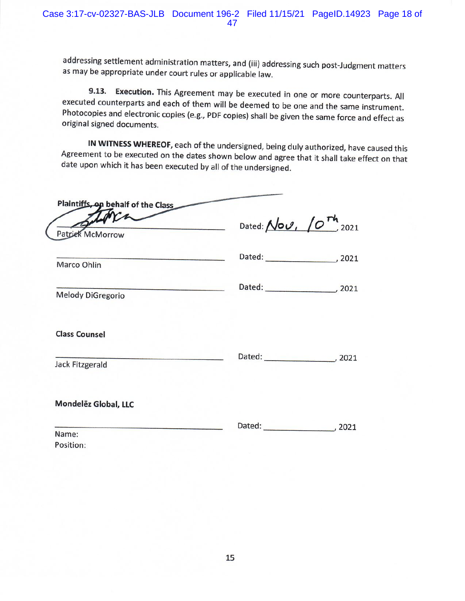9.13. Execution. This Agreement may be executed in one or more counterparts. All executed counterparts and each of them will be deemed to be one and the same instrument. Photocopies and electronic copies (e.g., PDF copies) shall be given the same force and effect as original signed documents.

IN WITNESS WHEREOF, each of the undersigned, being duly authorized, have caused this Agreement to be executed on the dates shown below and agree that it shall take effect on that date upon which it has been executed by all of the undersigned.

| Plaintiffs, on behalf of the Class<br>orr<br>Patrick McMorrow                                                                        | Dated: $\mathcal{N}o\mathcal{O}$ , $\left(O^{Th}\right)_{2021}$ |  |
|--------------------------------------------------------------------------------------------------------------------------------------|-----------------------------------------------------------------|--|
| <b>CONCERNATIONS INTO A REPORT OF A STATE OF A REPORT OF A STATE OF A REPORT OF A STATE OF A REPORT OF A STATE OF</b><br>Marco Ohlin |                                                                 |  |
| Melody DiGregorio                                                                                                                    |                                                                 |  |
| <b>Class Counsel</b>                                                                                                                 | Dated: 2021                                                     |  |
| <b>Jack Fitzgerald</b>                                                                                                               |                                                                 |  |
| Mondelez Global, LLC                                                                                                                 |                                                                 |  |
| Name:<br>Position:                                                                                                                   | Dated: 2021                                                     |  |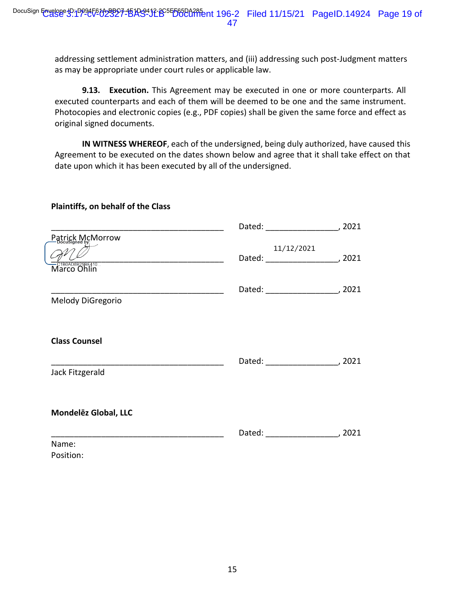**9.13. Execution.** This Agreement may be executed in one or more counterparts. All executed counterparts and each of them will be deemed to be one and the same instrument. Photocopies and electronic copies (e.g., PDF copies) shall be given the same force and effect as original signed documents.

**IN WITNESS WHEREOF**, each of the undersigned, being duly authorized, have caused this Agreement to be executed on the dates shown below and agree that it shall take effect on that date upon which it has been executed by all of the undersigned.

#### **Plaintiffs, on behalf of the Class**

| Patrick McMorrow                         |                                           |  |
|------------------------------------------|-------------------------------------------|--|
| —стводовв <u>29в</u> е4то<br>Marco Ohlin | 11/12/2021                                |  |
| Melody DiGregorio                        | Dated: ____________________________, 2021 |  |
| <b>Class Counsel</b>                     |                                           |  |
| Jack Fitzgerald                          |                                           |  |
| Mondelez Global, LLC                     |                                           |  |
|                                          |                                           |  |
| Name:                                    |                                           |  |
| Position:                                |                                           |  |